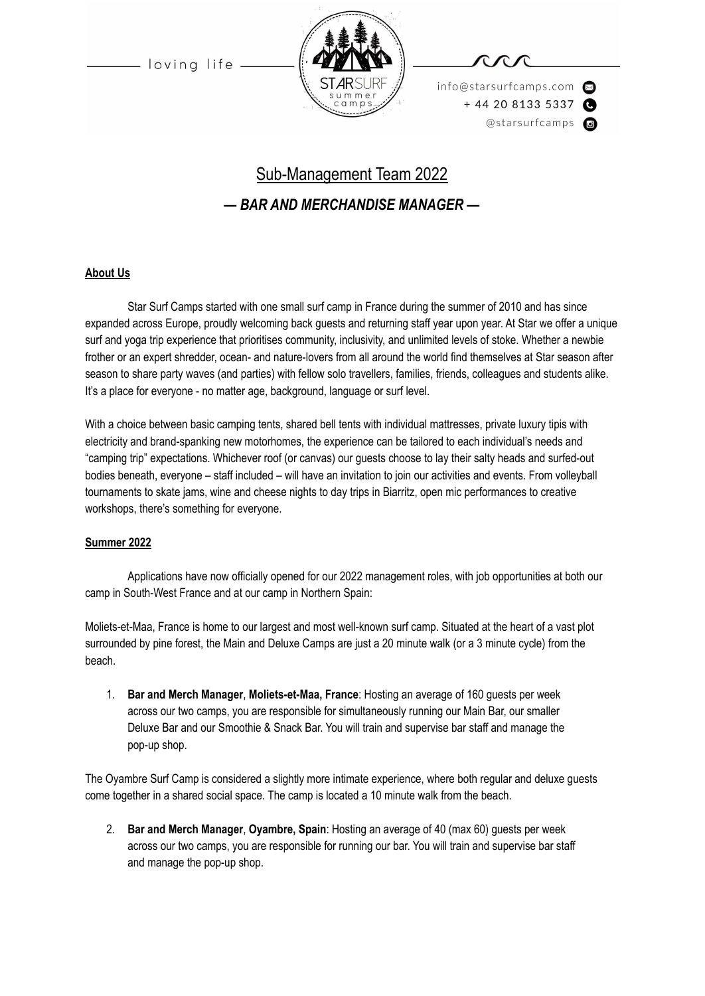loving life



info@starsurfcamps.com  $+442081335337$ @starsurfcamps @

# Sub-Management Team 2022

## *— BAR AND MERCHANDISE MANAGER —*

#### **About Us**

Star Surf Camps started with one small surf camp in France during the summer of 2010 and has since expanded across Europe, proudly welcoming back guests and returning staff year upon year. At Star we offer a unique surf and yoga trip experience that prioritises community, inclusivity, and unlimited levels of stoke. Whether a newbie frother or an expert shredder, ocean- and nature-lovers from all around the world find themselves at Star season after season to share party waves (and parties) with fellow solo travellers, families, friends, colleagues and students alike. It's a place for everyone - no matter age, background, language or surf level.

With a choice between basic camping tents, shared bell tents with individual mattresses, private luxury tipis with electricity and brand-spanking new motorhomes, the experience can be tailored to each individual's needs and "camping trip" expectations. Whichever roof (or canvas) our guests choose to lay their salty heads and surfed-out bodies beneath, everyone – staff included – will have an invitation to join our activities and events. From volleyball tournaments to skate jams, wine and cheese nights to day trips in Biarritz, open mic performances to creative workshops, there's something for everyone.

#### **Summer 2022**

Applications have now officially opened for our 2022 management roles, with job opportunities at both our camp in South-West France and at our camp in Northern Spain:

Moliets-et-Maa, France is home to our largest and most well-known surf camp. Situated at the heart of a vast plot surrounded by pine forest, the Main and Deluxe Camps are just a 20 minute walk (or a 3 minute cycle) from the beach.

1. **Bar and Merch Manager**, **Moliets-et-Maa, France**: Hosting an average of 160 guests per week across our two camps, you are responsible for simultaneously running our Main Bar, our smaller Deluxe Bar and our Smoothie & Snack Bar. You will train and supervise bar staff and manage the pop-up shop.

The Oyambre Surf Camp is considered a slightly more intimate experience, where both regular and deluxe guests come together in a shared social space. The camp is located a 10 minute walk from the beach.

2. **Bar and Merch Manager**, **Oyambre, Spain**: Hosting an average of 40 (max 60) guests per week across our two camps, you are responsible for running our bar. You will train and supervise bar staff and manage the pop-up shop.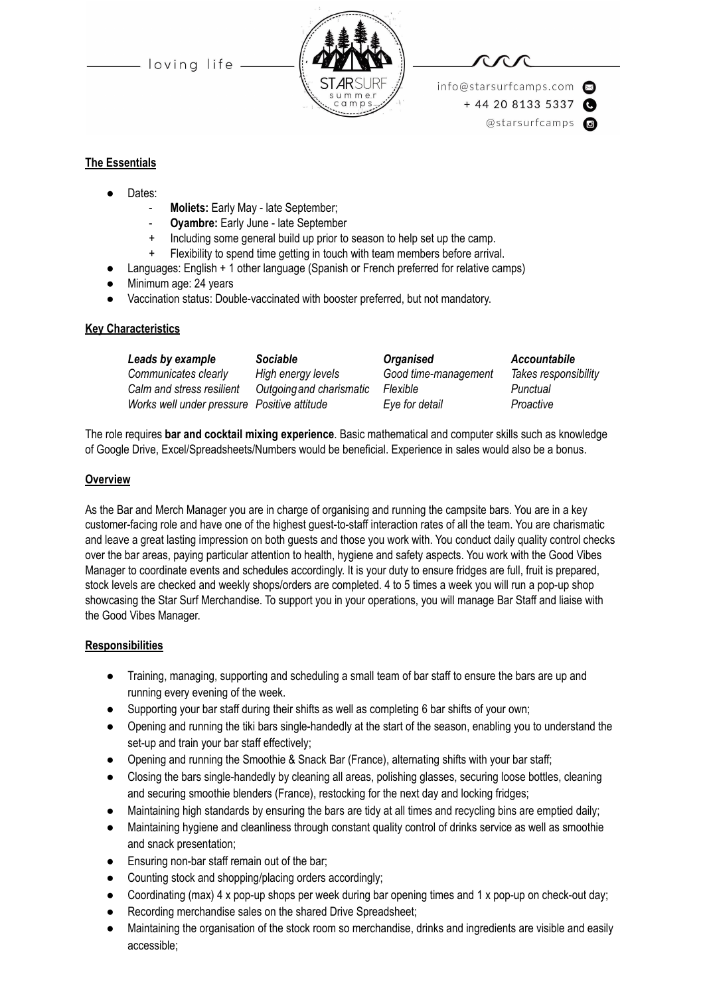- loving life -



info@starsurfcamps.com  $+442081335337$ @starsurfcamps @

#### **The Essentials**

- Dates:
	- Moliets: Early May late September;
	- Oyambre: Early June late September
	- Including some general build up prior to season to help set up the camp.
	- + Flexibility to spend time getting in touch with team members before arrival.
	- Languages: English + 1 other language (Spanish or French preferred for relative camps)
- Minimum age: 24 years
- Vaccination status: Double-vaccinated with booster preferred, but not mandatory.

#### **Key Characteristics**

| Leads by example                            | <b>Sociable</b>          | <b>Organised</b>     | Accountabile         |
|---------------------------------------------|--------------------------|----------------------|----------------------|
| Communicates clearly                        | High energy levels       | Good time-management | Takes responsibility |
| Calm and stress resilient                   | Outgoing and charismatic | Flexible             | Punctual             |
| Works well under pressure Positive attitude |                          | Eye for detail       | Proactive            |

The role requires **bar and cocktail mixing experience**. Basic mathematical and computer skills such as knowledge of Google Drive, Excel/Spreadsheets/Numbers would be beneficial. Experience in sales would also be a bonus.

#### **Overview**

As the Bar and Merch Manager you are in charge of organising and running the campsite bars. You are in a key customer-facing role and have one of the highest guest-to-staff interaction rates of all the team. You are charismatic and leave a great lasting impression on both guests and those you work with. You conduct daily quality control checks over the bar areas, paying particular attention to health, hygiene and safety aspects. You work with the Good Vibes Manager to coordinate events and schedules accordingly. It is your duty to ensure fridges are full, fruit is prepared, stock levels are checked and weekly shops/orders are completed. 4 to 5 times a week you will run a pop-up shop showcasing the Star Surf Merchandise. To support you in your operations, you will manage Bar Staff and liaise with the Good Vibes Manager.

#### **Responsibilities**

- Training, managing, supporting and scheduling a small team of bar staff to ensure the bars are up and running every evening of the week.
- Supporting your bar staff during their shifts as well as completing 6 bar shifts of your own;
- Opening and running the tiki bars single-handedly at the start of the season, enabling you to understand the set-up and train your bar staff effectively;
- Opening and running the Smoothie & Snack Bar (France), alternating shifts with your bar staff;
- Closing the bars single-handedly by cleaning all areas, polishing glasses, securing loose bottles, cleaning and securing smoothie blenders (France), restocking for the next day and locking fridges;
- Maintaining high standards by ensuring the bars are tidy at all times and recycling bins are emptied daily;
- Maintaining hygiene and cleanliness through constant quality control of drinks service as well as smoothie and snack presentation;
- Ensuring non-bar staff remain out of the bar;
- Counting stock and shopping/placing orders accordingly;
- Coordinating (max) 4 x pop-up shops per week during bar opening times and 1 x pop-up on check-out day;
- Recording merchandise sales on the shared Drive Spreadsheet;
- Maintaining the organisation of the stock room so merchandise, drinks and ingredients are visible and easily accessible;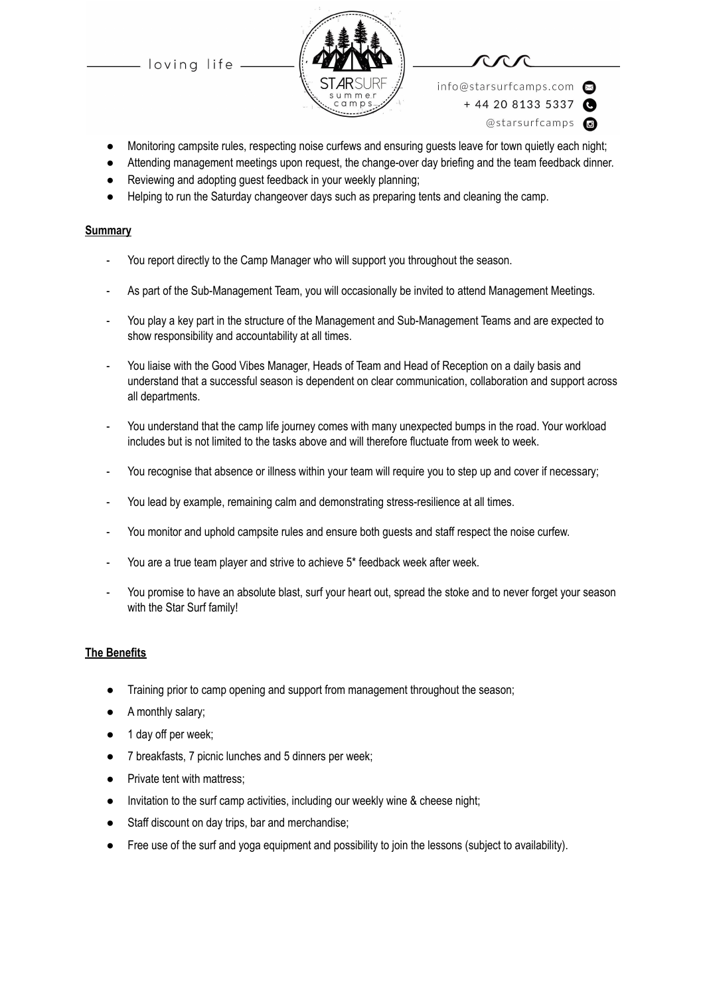loving life





info@starsurfcamps.com  $+442081335337$ 

- @starsurfcamps @
- Monitoring campsite rules, respecting noise curfews and ensuring guests leave for town quietly each night;
- Attending management meetings upon request, the change-over day briefing and the team feedback dinner.
- Reviewing and adopting guest feedback in your weekly planning;
- Helping to run the Saturday changeover days such as preparing tents and cleaning the camp.

#### **Summary**

- You report directly to the Camp Manager who will support you throughout the season.
- As part of the Sub-Management Team, you will occasionally be invited to attend Management Meetings.
- You play a key part in the structure of the Management and Sub-Management Teams and are expected to show responsibility and accountability at all times.
- You liaise with the Good Vibes Manager, Heads of Team and Head of Reception on a daily basis and understand that a successful season is dependent on clear communication, collaboration and support across all departments.
- You understand that the camp life journey comes with many unexpected bumps in the road. Your workload includes but is not limited to the tasks above and will therefore fluctuate from week to week.
- You recognise that absence or illness within your team will require you to step up and cover if necessary;
- You lead by example, remaining calm and demonstrating stress-resilience at all times.
- You monitor and uphold campsite rules and ensure both guests and staff respect the noise curfew.
- You are a true team player and strive to achieve 5\* feedback week after week.
- You promise to have an absolute blast, surf your heart out, spread the stoke and to never forget your season with the Star Surf family!

#### **The Benefits**

- Training prior to camp opening and support from management throughout the season;
- A monthly salary;
- 1 day off per week;
- 7 breakfasts, 7 picnic lunches and 5 dinners per week;
- Private tent with mattress;
- Invitation to the surf camp activities, including our weekly wine & cheese night;
- Staff discount on day trips, bar and merchandise;
- Free use of the surf and yoga equipment and possibility to join the lessons (subject to availability).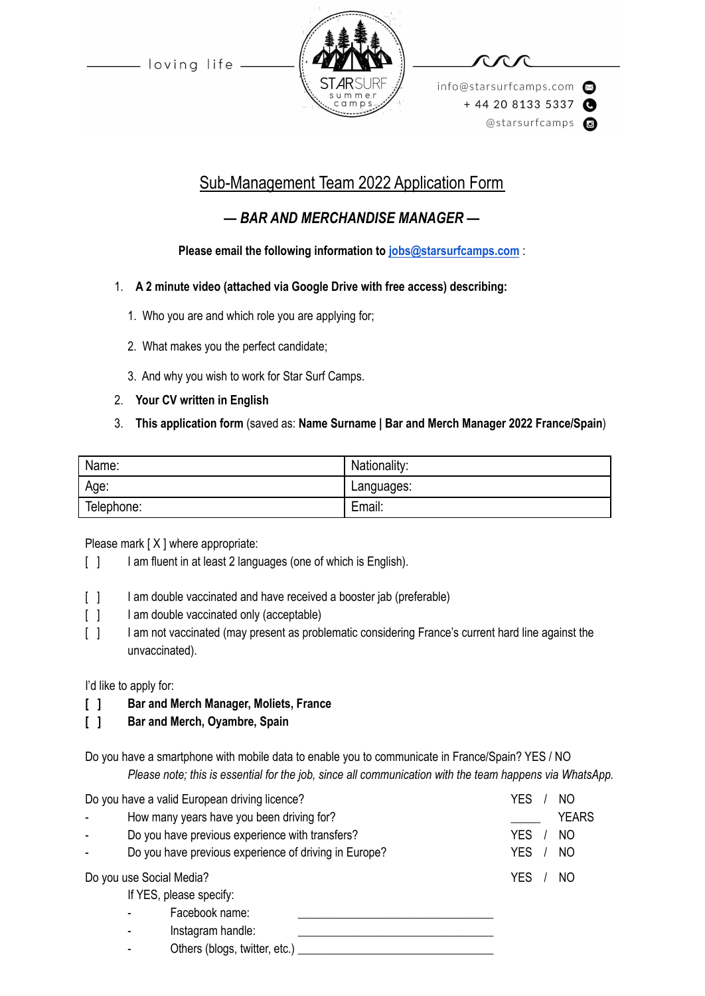- loving life



info@starsurfcamps.com  $+442081335337$ @starsurfcamps @

# Sub-Management Team 2022 Application Form

## *— BAR AND MERCHANDISE MANAGER —*

### **Please email the following information to [jobs@starsurfcamps.com](mailto:jobs@starsurfcamps.com)** :

- 1. **A 2 minute video (attached via Google Drive with free access) describing:**
	- 1️. Who you are and which role you are applying for;
	- 2. What makes you the perfect candidate;
	- 3️. And why you wish to work for Star Surf Camps.
- 2. **Your CV written in English**
- 3. **This application form** (saved as: **Name Surname | Bar and Merch Manager 2022 France/Spain**)

| Name:      | Nationality: |
|------------|--------------|
| Age:       | Languages:   |
| Telephone: | Email:       |

### Please mark [X ] where appropriate:

- [ ] I am fluent in at least 2 languages (one of which is English).
- [ ] I am double vaccinated and have received a booster jab (preferable)
- [ ] I am double vaccinated only (acceptable)
- [ ] I am not vaccinated (may present as problematic considering France's current hard line against the unvaccinated).

I'd like to apply for:

- **[ ] Bar and Merch Manager, Moliets, France**
- **[ ] Bar and Merch, Oyambre, Spain**

Do you have a smartphone with mobile data to enable you to communicate in France/Spain? YES / NO *Please note; this is essential for the job, since all communication with the team happens via WhatsApp.*

| Do you have a valid European driving licence? |                                                       | YES<br>NΟ        |
|-----------------------------------------------|-------------------------------------------------------|------------------|
|                                               | How many years have you been driving for?             | <b>YEARS</b>     |
|                                               | Do you have previous experience with transfers?       | <b>YES</b><br>NO |
|                                               | Do you have previous experience of driving in Europe? | <b>YES</b><br>NO |
| Do you use Social Media?                      |                                                       | YES<br>NO        |
|                                               | If YES, please specify:                               |                  |
|                                               | Facebook name:                                        |                  |
|                                               | Instagram handle:<br>$\qquad \qquad \blacksquare$     |                  |
|                                               | Others (blogs, twitter, etc.)                         |                  |